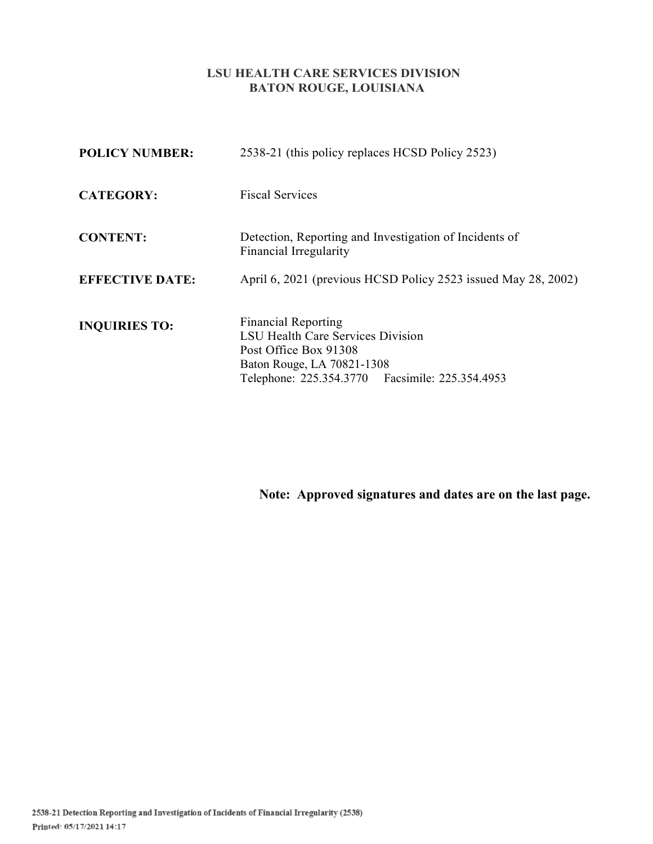# **LSU HEALTH CARE SERVICES DIVISION BATON ROUGE, LOUISIANA**

| <b>POLICY NUMBER:</b>  | 2538-21 (this policy replaces HCSD Policy 2523)                                                                                                                            |
|------------------------|----------------------------------------------------------------------------------------------------------------------------------------------------------------------------|
| CATEGORY:              | <b>Fiscal Services</b>                                                                                                                                                     |
| <b>CONTENT:</b>        | Detection, Reporting and Investigation of Incidents of<br>Financial Irregularity                                                                                           |
| <b>EFFECTIVE DATE:</b> | April 6, 2021 (previous HCSD Policy 2523 issued May 28, 2002)                                                                                                              |
| <b>INQUIRIES TO:</b>   | <b>Financial Reporting</b><br>LSU Health Care Services Division<br>Post Office Box 91308<br>Baton Rouge, LA 70821-1308<br>Telephone: 225.354.3770  Facsimile: 225.354.4953 |

**Note: Approved signatures and dates are on the last page.**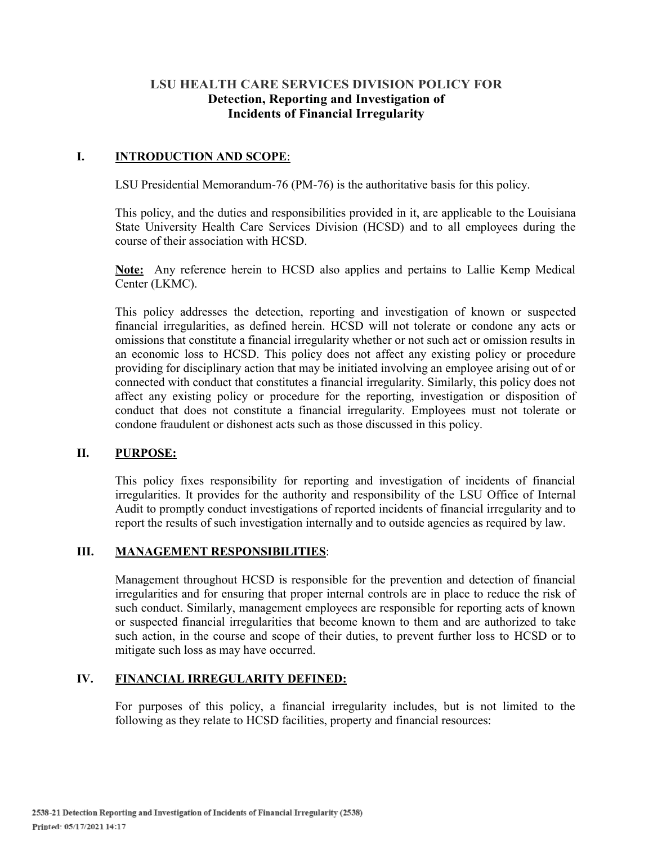## **LSU HEALTH CARE SERVICES DIVISION POLICY FOR Detection, Reporting and Investigation of Incidents of Financial Irregularity**

## **I. INTRODUCTION AND SCOPE**:

LSU Presidential Memorandum-76 (PM-76) is the authoritative basis for this policy.

This policy, and the duties and responsibilities provided in it, are applicable to the Louisiana State University Health Care Services Division (HCSD) and to all employees during the course of their association with HCSD.

**Note:** Any reference herein to HCSD also applies and pertains to Lallie Kemp Medical Center (LKMC).

This policy addresses the detection, reporting and investigation of known or suspected financial irregularities, as defined herein. HCSD will not tolerate or condone any acts or omissions that constitute a financial irregularity whether or not such act or omission results in an economic loss to HCSD. This policy does not affect any existing policy or procedure providing for disciplinary action that may be initiated involving an employee arising out of or connected with conduct that constitutes a financial irregularity. Similarly, this policy does not affect any existing policy or procedure for the reporting, investigation or disposition of conduct that does not constitute a financial irregularity. Employees must not tolerate or condone fraudulent or dishonest acts such as those discussed in this policy.

### **II. PURPOSE:**

This policy fixes responsibility for reporting and investigation of incidents of financial irregularities. It provides for the authority and responsibility of the LSU Office of Internal Audit to promptly conduct investigations of reported incidents of financial irregularity and to report the results of such investigation internally and to outside agencies as required by law.

## **III. MANAGEMENT RESPONSIBILITIES**:

Management throughout HCSD is responsible for the prevention and detection of financial irregularities and for ensuring that proper internal controls are in place to reduce the risk of such conduct. Similarly, management employees are responsible for reporting acts of known or suspected financial irregularities that become known to them and are authorized to take such action, in the course and scope of their duties, to prevent further loss to HCSD or to mitigate such loss as may have occurred.

### **IV. FINANCIAL IRREGULARITY DEFINED:**

For purposes of this policy, a financial irregularity includes, but is not limited to the following as they relate to HCSD facilities, property and financial resources: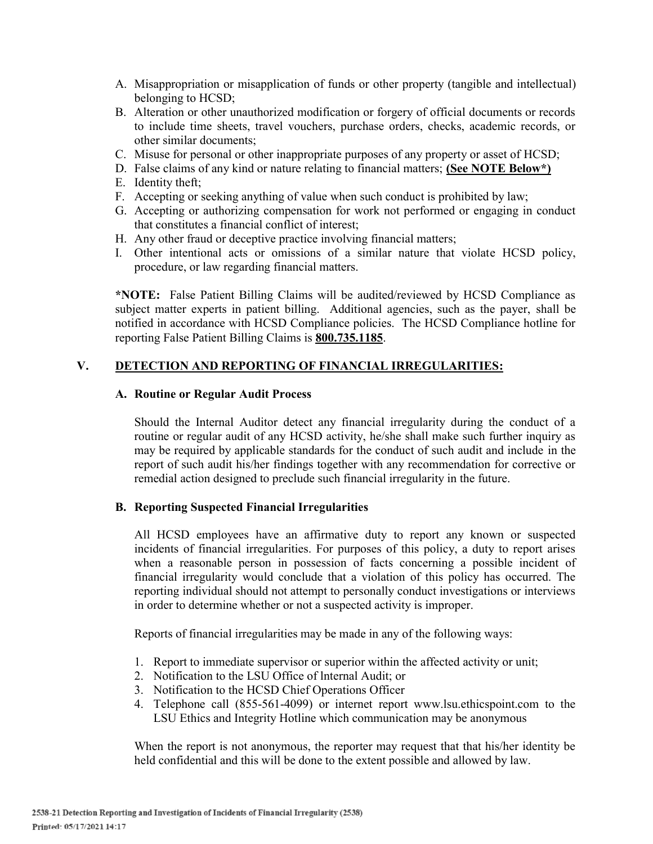- A. Misappropriation or misapplication of funds or other property (tangible and intellectual) belonging to HCSD;
- B. Alteration or other unauthorized modification or forgery of official documents or records to include time sheets, travel vouchers, purchase orders, checks, academic records, or other similar documents;
- C. Misuse for personal or other inappropriate purposes of any property or asset of HCSD;
- D. False claims of any kind or nature relating to financial matters; **(See NOTE Below\*)**
- E. Identity theft;
- F. Accepting or seeking anything of value when such conduct is prohibited by law;
- G. Accepting or authorizing compensation for work not performed or engaging in conduct that constitutes a financial conflict of interest;
- H. Any other fraud or deceptive practice involving financial matters;
- I. Other intentional acts or omissions of a similar nature that violate HCSD policy, procedure, or law regarding financial matters.

**\*NOTE:** False Patient Billing Claims will be audited/reviewed by HCSD Compliance as subject matter experts in patient billing. Additional agencies, such as the payer, shall be notified in accordance with HCSD Compliance policies. The HCSD Compliance hotline for reporting False Patient Billing Claims is **800.735.1185**.

## **V. DETECTION AND REPORTING OF FINANCIAL IRREGULARITIES:**

#### **A. Routine or Regular Audit Process**

Should the Internal Auditor detect any financial irregularity during the conduct of a routine or regular audit of any HCSD activity, he/she shall make such further inquiry as may be required by applicable standards for the conduct of such audit and include in the report of such audit his/her findings together with any recommendation for corrective or remedial action designed to preclude such financial irregularity in the future.

#### **B. Reporting Suspected Financial Irregularities**

All HCSD employees have an affirmative duty to report any known or suspected incidents of financial irregularities. For purposes of this policy, a duty to report arises when a reasonable person in possession of facts concerning a possible incident of financial irregularity would conclude that a violation of this policy has occurred. The reporting individual should not attempt to personally conduct investigations or interviews in order to determine whether or not a suspected activity is improper.

Reports of financial irregularities may be made in any of the following ways:

- 1. Report to immediate supervisor or superior within the affected activity or unit;
- 2. Notification to the LSU Office of lnternal Audit; or
- 3. Notification to the HCSD Chief Operations Officer
- 4. Telephone call (855-561-4099) or internet report www.lsu.ethicspoint.com to the LSU Ethics and Integrity Hotline which communication may be anonymous

When the report is not anonymous, the reporter may request that that his/her identity be held confidential and this will be done to the extent possible and allowed by law.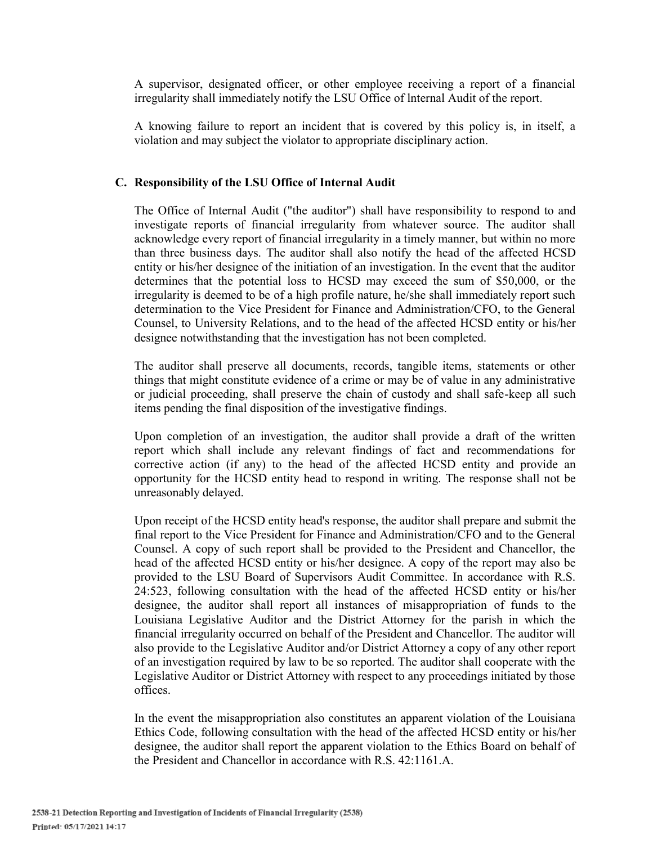A supervisor, designated officer, or other employee receiving a report of a financial irregularity shall immediately notify the LSU Office of lnternal Audit of the report.

A knowing failure to report an incident that is covered by this policy is, in itself, a violation and may subject the violator to appropriate disciplinary action.

#### **C. Responsibility of the LSU Office of Internal Audit**

The Office of Internal Audit ("the auditor") shall have responsibility to respond to and investigate reports of financial irregularity from whatever source. The auditor shall acknowledge every report of financial irregularity in a timely manner, but within no more than three business days. The auditor shall also notify the head of the affected HCSD entity or his/her designee of the initiation of an investigation. In the event that the auditor determines that the potential loss to HCSD may exceed the sum of \$50,000, or the irregularity is deemed to be of a high profile nature, he/she shall immediately report such determination to the Vice President for Finance and Administration/CFO, to the General Counsel, to University Relations, and to the head of the affected HCSD entity or his/her designee notwithstanding that the investigation has not been completed.

The auditor shall preserve all documents, records, tangible items, statements or other things that might constitute evidence of a crime or may be of value in any administrative or judicial proceeding, shall preserve the chain of custody and shall safe-keep all such items pending the final disposition of the investigative findings.

Upon completion of an investigation, the auditor shall provide a draft of the written report which shall include any relevant findings of fact and recommendations for corrective action (if any) to the head of the affected HCSD entity and provide an opportunity for the HCSD entity head to respond in writing. The response shall not be unreasonably delayed.

Upon receipt of the HCSD entity head's response, the auditor shall prepare and submit the final report to the Vice President for Finance and Administration/CFO and to the General Counsel. A copy of such report shall be provided to the President and Chancellor, the head of the affected HCSD entity or his/her designee. A copy of the report may also be provided to the LSU Board of Supervisors Audit Committee. In accordance with R.S. 24:523, following consultation with the head of the affected HCSD entity or his/her designee, the auditor shall report all instances of misappropriation of funds to the Louisiana Legislative Auditor and the District Attorney for the parish in which the financial irregularity occurred on behalf of the President and Chancellor. The auditor will also provide to the Legislative Auditor and/or District Attorney a copy of any other report of an investigation required by law to be so reported. The auditor shall cooperate with the Legislative Auditor or District Attorney with respect to any proceedings initiated by those offices.

In the event the misappropriation also constitutes an apparent violation of the Louisiana Ethics Code, following consultation with the head of the affected HCSD entity or his/her designee, the auditor shall report the apparent violation to the Ethics Board on behalf of the President and Chancellor in accordance with R.S. 42:1161.A.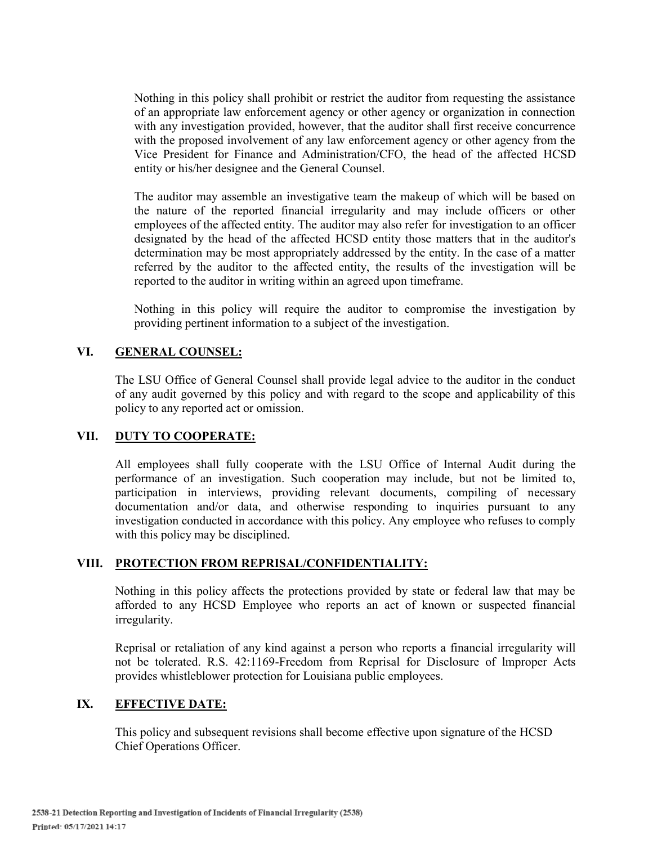Nothing in this policy shall prohibit or restrict the auditor from requesting the assistance of an appropriate law enforcement agency or other agency or organization in connection with any investigation provided, however, that the auditor shall first receive concurrence with the proposed involvement of any law enforcement agency or other agency from the Vice President for Finance and Administration/CFO, the head of the affected HCSD entity or his/her designee and the General Counsel.

The auditor may assemble an investigative team the makeup of which will be based on the nature of the reported financial irregularity and may include officers or other employees of the affected entity. The auditor may also refer for investigation to an officer designated by the head of the affected HCSD entity those matters that in the auditor's determination may be most appropriately addressed by the entity. In the case of a matter referred by the auditor to the affected entity, the results of the investigation will be reported to the auditor in writing within an agreed upon timeframe.

Nothing in this policy will require the auditor to compromise the investigation by providing pertinent information to a subject of the investigation.

## **VI. GENERAL COUNSEL:**

The LSU Office of General Counsel shall provide legal advice to the auditor in the conduct of any audit governed by this policy and with regard to the scope and applicability of this policy to any reported act or omission.

### **VII. DUTY TO COOPERATE:**

All employees shall fully cooperate with the LSU Office of Internal Audit during the performance of an investigation. Such cooperation may include, but not be limited to, participation in interviews, providing relevant documents, compiling of necessary documentation and/or data, and otherwise responding to inquiries pursuant to any investigation conducted in accordance with this policy. Any employee who refuses to comply with this policy may be disciplined.

### **VIII. PROTECTION FROM REPRISAL/CONFIDENTIALITY:**

Nothing in this policy affects the protections provided by state or federal law that may be afforded to any HCSD Employee who reports an act of known or suspected financial irregularity.

Reprisal or retaliation of any kind against a person who reports a financial irregularity will not be tolerated. R.S. 42:1169-Freedom from Reprisal for Disclosure of lmproper Acts provides whistleblower protection for Louisiana public employees.

## **IX. EFFECTIVE DATE:**

This policy and subsequent revisions shall become effective upon signature of the HCSD Chief Operations Officer.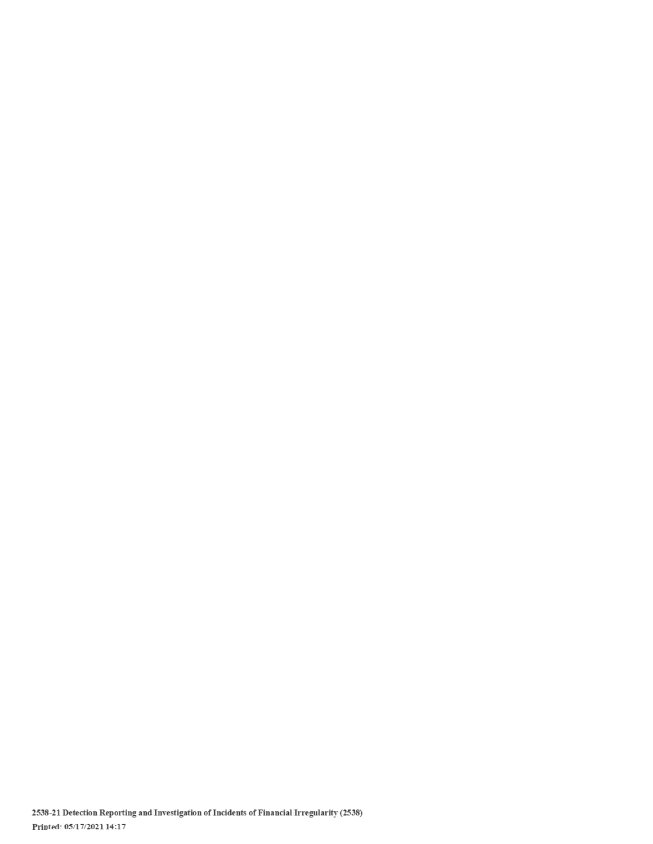2538-21 Detection Reporting and Investigation of Incidents of Financial Irregularity (2538) Printed: 05/17/2021 14:17